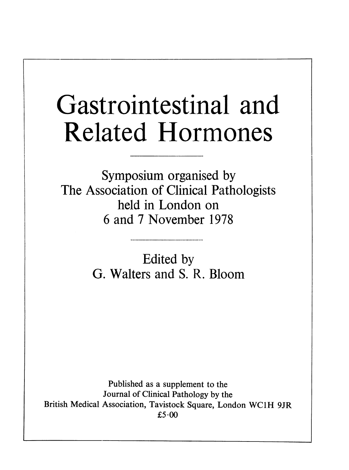## Gastrointestinal and Related Hormones

Symposium organised by The Association of Clinical Pathologists held in London on 6 and 7 November 1978

> Edited by G. Walters and S. R. Bloom

Published as a supplement to the Journal of Clinical Pathology by the British Medical Association, Tavistock Square, London WC1H 9JR  $£5.00$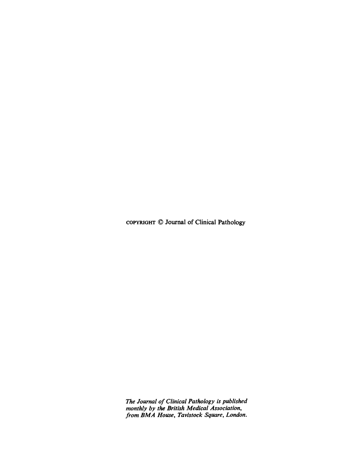COPYRIGHT © Journal of Clinical Pathology

The Journal of Clinical Pathology is published monthly by the British Medical Association, from BMA House, Tavistock Square, London.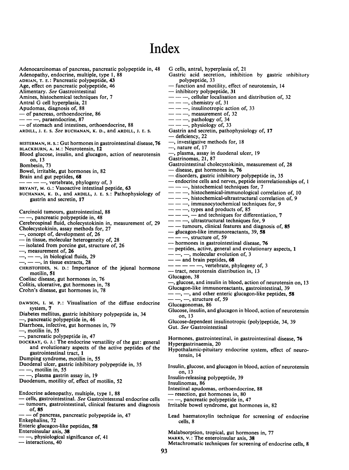## Index

Adenocarcinomas of pancreas, pancreatic polypeptide in, 48 Adenopathy, endocrine, multiple, type 1, 88 ADRIAN, T. E.: Pancreatic polypeptide, 43 Age, effect on pancreatic polypeptide, 46 Alimentary. See Gastrointestinal Amines, histochemical techniques for, 7 Antral G cell hyperplasia, <sup>21</sup> Apudomas, diagnosis of, 88 of pancreas, orthoendocrine, 86  $---$ , paraendocrine, 87 - of stomach and intestines, orthoendocrine, 88 ARDILL, J. E. S. See BUCHANAN, K. D., and ARDILL, J. E. S. BESTERMAN, H. S.: Gut hormones in gastrointestinal disease, 76 BLACKBURN, A. M.: Neurotensin, 12 Blood glucose, insulin, and glucagon, action of neurotensin on, 13 Bombesin, 73 Bowel, irritable, gut hormones in, 82 Brain and gut peptides, 68  $--$ , vertebrate, phylogeny of, 3 BRYANT, M. G.: Vasoactive intestinal peptide, 63 BUCHANAN, K. D., and ARDILL, J. E. S.: Pathophysiology of gastrin and secretin, 17 Carcinoid tumours, gastrointestinal, 88 -, pancreatic polypeptide in, 48 Cerebrospinal fluid, cholecystokinin in, measurement of, 29 Cholecystokinin, assay methods for, 27 -, concept of, development of, 26  $-$  in tissue, molecular heterogeneity of, 28  $-$  isolated from porcine gut, structure of, 26 -, measurement of, 26 , -- -, in biological fluids, 29<br>, -- -, in tissue extracts, 28 CHRISTOFIDES, N. D.: Importance of the jejunal hormone motilin, 51 Coeliac disease, gut hormones in, 76 Colitis, ulcerative, gut hormones in, 78 Crohn's disease, gut hormones in, 78 DAWSON, I. M. P.: Visualisation of the diffuse endocrine system, 7 Diabetes mellitus, gastric inhibitory polypeptide in, 34 -, pancreatic polypeptide in, 46 Diarrhoea, infective, gut hormones in, 79  $-$ , motilin in, 55 -, pancreatic polypeptide in, 47 DOCKRAY, G. j.: The endocrine versatility of the gut: general and evolutionary aspects of the active peptides of the gastrointestinal tract, 1 Dumping syndrome, motilin in, 55 Duodenal ulcer, gastric inhibitory polypeptide in, 35 , motilin in, 55 - -, plasma gastrin assay in, 19 Duodenum, motility of, effect of motilin, 52 Endocrine adenopathy, multiple, type 1, 88 - cells, gastrointestinal. See Gastrointestinal endocrine cells  $-$  tumours, gastrointestinal, clinical features and diagnosis of, 85 - of pancreas, pancreatic polypeptide in, 47 Enkephalins, 72 Enteric glucagon-like peptides, 58 Enteroinsular axis, 38 -, physiological significance of, <sup>41</sup>  $-$  interactions, 40 G cells, antral, hyperplasia of, <sup>21</sup> Gastric acid secretion, inhibition by gastric inhibitory polypeptide, 33 - function and motility, effect of neurotensin, 14 - inhibitory polypeptide, 31  $-$ , cellular localisation and distribution of, 32<br>  $-$ , chemistry of, 31  $---$ , insulinotropic action of, 33  $\frac{1}{2}$ , measurement of, 32  $-$ , pathology of, 34<br> $-$ , physiology of, 33 Gastrin and secretin, pathophysiology of, 17 deficiency, 22  $-$ , investigative methods for, 18 -, nature of, 17  $-$ , plasma, assay in duodenal ulcer, 19 Gastrinomas, 21, 87 Gastrointestinal cholecystokinin, measurement of, 28  $-$  disease, gut hormones in, 76  $-$  disorders, gastric inhibitory polypeptide in, 35 - endocrine cells and nerves, peptide interrelationships of, 1  $--$ , histochemical techniques for, 7  $\frac{1}{10}$ , histochemical-immunological correlation of, 10  $--$ , histochemical-ultrastructural correlation of, 9  $--$ , immunocytochemical techniques for, 9  $--$ , types and products of, 85  $-$ ,  $-$  and techniques for differentiation, 7  $--$ , ultrastructural techniques for, 9  $-$  tumours, clinical features and diagnosis of, 85  $-$  glucagon-like immunoreactants, 39, 58 - -, structure of, 59 — hormones in gastrointestinal disease, 76 peptides, active, general and evolutionary aspects, 1 -, -, molecular evolution of, 3<br>- and brain peptides, 68  $- --$ , vertebrate, phylogeny of, 3 tract, neurotensin distribution in, 13 Glucagon, 38 -, glucose, and insulin in blood, action of neurotensin on, <sup>13</sup> Glucagon-like immunoreactants, gastrointestinal, 39  $-$ ,  $-$ , and other enteric glucagon-like peptides, 58  $--, -$ , structure of, 59 Glucagonomas, 86 Glucose, insulin, and glucagon in blood, action of neurotensin on, 13 Glucose-dependent insulinotropic (poly)peptide, 34, 39 Gut. See Gastrointestinal Hormones, gastrointestinal, in gastrointestinal disease, 76 Hypergastrinaemia, 20 Hypothalamic-pituitary endocrine system, effect of neurotensin, 14 Insulin, glucose, and glucagon in blood, action of neurotensin on, 13 Insulin-releasing polypeptide, 39 Insulinomas, 86 Intestinal apudomas, orthoendocrine. 88 -resection, gut hormones in, 80  $-$ , pancreatic polypeptide in, 47 Irritable bowel syndrome, gut hormones in, 82 Lead haematoxylin technique for screening of endocrine cells, 8 Malabsorption, tropical, gut hormones in, 77 MARKS, V.: The enteroinsular axis, 38 Metachromatic techniques for screening of endocrine cells, 8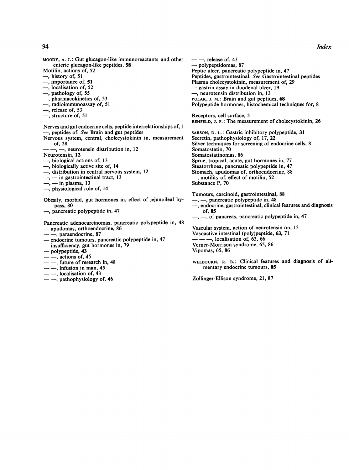MOODY, A. J.: Gut glucagon-like immunoreactants and other enteric glucagon-like peptides, 58 Motilin, actions of, 52 -, history of, 51 -, importance of, 51 , localisation of, 52 , pathology of, 55 , pharmacokinetics of, 53 , radioimmunoassay of, 51  $-$ , release of, 53 -, structure of, 51 Nerves and gut endocrine cells, peptide interrelationships of, <sup>1</sup> - peptides of. See Brain and gut peptides Nervous system, central, cholecystokinin in, measurement of, 28 -, -, neurotensin distribution in, 12 Neurotensin, 12 -, biological actions of, 13 -, biologically active site of, 14 —, distribution in central nervous system, 12<br>—, — in gastrointestinal tract, 13  $-$ ,  $-$  in plasma, 13 -, physiological role of, 14 Obesity, morbid, gut hormones in, effect of jejunoileal bypass, 80  $-$ , pancreatic polypeptide in, 47 Pancreatic adenocarcinomas, pancreatic polypeptide in, 48 apudomas, orthoendocrine, 86 --, paraendocrine, 87 - endocrine tumours, pancreatic polypeptide in, 47 - insufficiency, gut hormones in, 79 - polypeptide, 43 of, 85

- $-$ , actions of, 45
- $-$ . future of research in, 48
- $-$ , infusion in man, 45
- $\sim$ , localisation of, 43
- $-$ , pathophysiology of, 46

 $-$ , release of, 43 - polypeptidomas, 87 Peptic ulcer, pancreatic polypeptide in, 47 Peptides, gastrointestinal. See Gastrointestinal peptides Plasma cholecystokinin, measurement of, 29 - gastrin assay in duodenal ulcer, 19  $-$ , neurotensin distribution in, 13 POLAK, J. M.: Brain and gut peptides, 68 Polypeptide hormones, histochemical techniques for, 8 Receptors, cell surface, 5 REHFELD, J. F.: The measurement of cholecystokinin, 26 SARSON, D. L.: Gastric inhibitory polypeptide, 31 Secretin, pathophysiology of, 17, 22 Silver techniques for screening of endocrine cells, 8 Somatostatin, 70 Somatostatinomas, 86 Sprue, tropical, acute, gut hormones in, 77 Steatorrhoea, pancreatic polypeptide in, 47 Stomach, apudomas of, orthoendocrine, 88  $-$ , motility of, effect of motilin, 52 Substance P, 70 Tumours, carcinoid, gastrointestinal, 88 -, -, pancreatic polypeptide in, 48 -, endocrine, gastrointestinal, clinical features and diagnosis  $-$ ,  $-$ , of pancreas, pancreatic polypeptide in, 47 Vascular system, action of neurotensin on, 13 Vasoactive intestinal (poly)peptide, 63, 71  $--$ , localisation of, 63, 66 Verner-Morrison syndrome, 65, 86 Vipomas, 65, 86 WELBOURN, R. B.: Clinical features and diagnosis of alimentary endocrine tumours, 85

Zollinger-Ellison syndrome, 21, 87